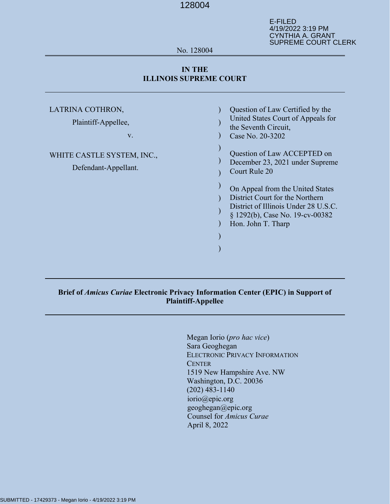E-FILED 4/19/2022 3:19 PM CYNTHIA A. GRANT SUPREME COURT CLERK

#### No. 128004

### **IN THE ILLINOIS SUPREME COURT**

| LATRINA COTHRON,<br>Plaintiff-Appellee,<br>$V_{\cdot}$ | Question of Law Certified by the<br>United States Court of Appeals for<br>the Seventh Circuit,<br>Case No. 20-3202                                                   |
|--------------------------------------------------------|----------------------------------------------------------------------------------------------------------------------------------------------------------------------|
| WHITE CASTLE SYSTEM, INC.,<br>Defendant-Appellant.     | Question of Law ACCEPTED on<br>December 23, 2021 under Supreme<br><b>Court Rule 20</b>                                                                               |
|                                                        | On Appeal from the United States<br>District Court for the Northern<br>District of Illinois Under 28 U.S.C.<br>§ 1292(b), Case No. 19-cv-00382<br>Hon. John T. Tharp |

## **Brief of** *Amicus Curiae* **Electronic Privacy Information Center (EPIC) in Support of Plaintiff-Appellee**

Megan Iorio (*pro hac vice*) Sara Geoghegan ELECTRONIC PRIVACY INFORMATION **CENTER** 1519 New Hampshire Ave. NW Washington, D.C. 20036 (202) 483-1140 iorio@epic.org geoghegan@epic.org Counsel for *Amicus Curae* April 8, 2022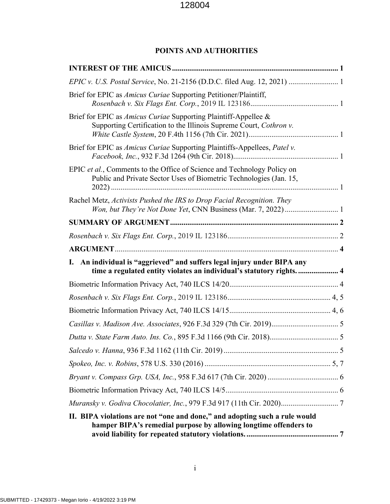# **POINTS AND AUTHORITIES**

| Brief for EPIC as <i>Amicus Curiae</i> Supporting Petitioner/Plaintiff,                                                                        |
|------------------------------------------------------------------------------------------------------------------------------------------------|
| Brief for EPIC as <i>Amicus Curiae</i> Supporting Plaintiff-Appellee &<br>Supporting Certification to the Illinois Supreme Court, Cothron v.   |
| Brief for EPIC as <i>Amicus Curiae</i> Supporting Plaintiffs-Appellees, <i>Patel v.</i>                                                        |
| EPIC et al., Comments to the Office of Science and Technology Policy on<br>Public and Private Sector Uses of Biometric Technologies (Jan. 15,  |
| Rachel Metz, Activists Pushed the IRS to Drop Facial Recognition. They                                                                         |
|                                                                                                                                                |
|                                                                                                                                                |
|                                                                                                                                                |
|                                                                                                                                                |
| I. An individual is "aggrieved" and suffers legal injury under BIPA any<br>time a regulated entity violates an individual's statutory rights 4 |
|                                                                                                                                                |
|                                                                                                                                                |
|                                                                                                                                                |
|                                                                                                                                                |
|                                                                                                                                                |
|                                                                                                                                                |
|                                                                                                                                                |
|                                                                                                                                                |
|                                                                                                                                                |
|                                                                                                                                                |

i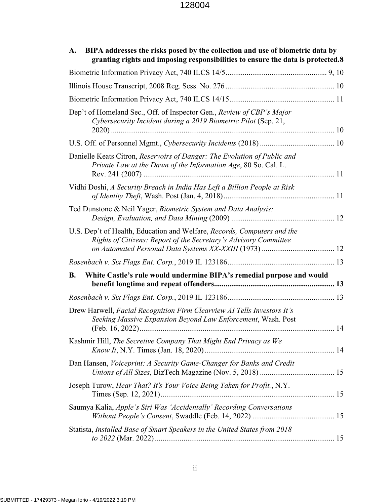| BIPA addresses the risks posed by the collection and use of biometric data by<br>A.<br>granting rights and imposing responsibilities to ensure the data is protected.8 |
|------------------------------------------------------------------------------------------------------------------------------------------------------------------------|
|                                                                                                                                                                        |
|                                                                                                                                                                        |
|                                                                                                                                                                        |
| Dep't of Homeland Sec., Off. of Inspector Gen., Review of CBP's Major<br>Cybersecurity Incident during a 2019 Biometric Pilot (Sep. 21,                                |
|                                                                                                                                                                        |
| Danielle Keats Citron, Reservoirs of Danger: The Evolution of Public and<br>Private Law at the Dawn of the Information Age, 80 So. Cal. L.                             |
| Vidhi Doshi, A Security Breach in India Has Left a Billion People at Risk                                                                                              |
| Ted Dunstone & Neil Yager, Biometric System and Data Analysis:                                                                                                         |
| U.S. Dep't of Health, Education and Welfare, Records, Computers and the<br>Rights of Citizens: Report of the Secretary's Advisory Committee                            |
|                                                                                                                                                                        |
| White Castle's rule would undermine BIPA's remedial purpose and would<br><b>B.</b>                                                                                     |
|                                                                                                                                                                        |
| Drew Harwell, Facial Recognition Firm Clearview AI Tells Investors It's<br>Seeking Massive Expansion Beyond Law Enforcement, Wash. Post                                |
| Kashmir Hill, The Secretive Company That Might End Privacy as We                                                                                                       |
| Dan Hansen, Voiceprint: A Security Game-Changer for Banks and Credit                                                                                                   |
| Joseph Turow, Hear That? It's Your Voice Being Taken for Profit., N.Y.                                                                                                 |
| Saumya Kalia, Apple's Siri Was 'Accidentally' Recording Conversations                                                                                                  |
| Statista, Installed Base of Smart Speakers in the United States from 2018                                                                                              |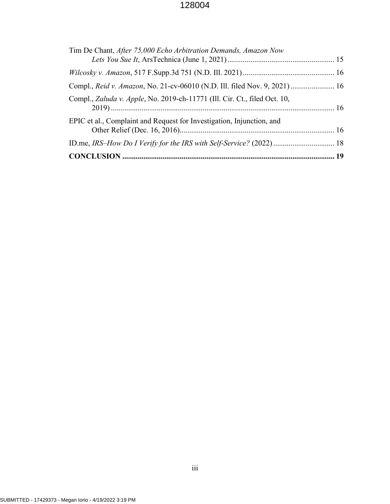| Tim De Chant, After 75,000 Echo Arbitration Demands, Amazon Now           |  |
|---------------------------------------------------------------------------|--|
|                                                                           |  |
| Compl., Reid v. Amazon, No. 21-cv-06010 (N.D. Ill. filed Nov. 9, 2021) 16 |  |
| Compl., Zaluda v. Apple, No. 2019-ch-11771 (Ill. Cir. Ct., filed Oct. 10, |  |
| EPIC et al., Complaint and Request for Investigation, Injunction, and     |  |
|                                                                           |  |
|                                                                           |  |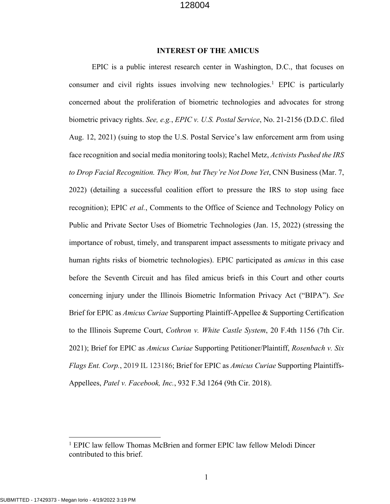#### **INTEREST OF THE AMICUS**

EPIC is a public interest research center in Washington, D.C., that focuses on consumer and civil rights issues involving new technologies. <sup>1</sup> EPIC is particularly concerned about the proliferation of biometric technologies and advocates for strong biometric privacy rights. *See, e.g.*, *EPIC v. U.S. Postal Service*, No. 21-2156 (D.D.C. filed Aug. 12, 2021) (suing to stop the U.S. Postal Service's law enforcement arm from using face recognition and social media monitoring tools); Rachel Metz, *Activists Pushed the IRS to Drop Facial Recognition. They Won, but They're Not Done Yet*, CNN Business (Mar. 7, 2022) (detailing a successful coalition effort to pressure the IRS to stop using face recognition); EPIC *et al.*, Comments to the Office of Science and Technology Policy on Public and Private Sector Uses of Biometric Technologies (Jan. 15, 2022) (stressing the importance of robust, timely, and transparent impact assessments to mitigate privacy and human rights risks of biometric technologies). EPIC participated as *amicus* in this case before the Seventh Circuit and has filed amicus briefs in this Court and other courts concerning injury under the Illinois Biometric Information Privacy Act ("BIPA"). *See* Brief for EPIC as *Amicus Curiae* Supporting Plaintiff-Appellee & Supporting Certification to the Illinois Supreme Court, *Cothron v. White Castle System*, 20 F.4th 1156 (7th Cir. 2021); Brief for EPIC as *Amicus Curiae* Supporting Petitioner/Plaintiff, *Rosenbach v. Six Flags Ent. Corp.*, 2019 IL 123186; Brief for EPIC as *Amicus Curiae* Supporting Plaintiffs-Appellees, *Patel v. Facebook, Inc.*, 932 F.3d 1264 (9th Cir. 2018).

<sup>&</sup>lt;sup>1</sup> EPIC law fellow Thomas McBrien and former EPIC law fellow Melodi Dincer contributed to this brief.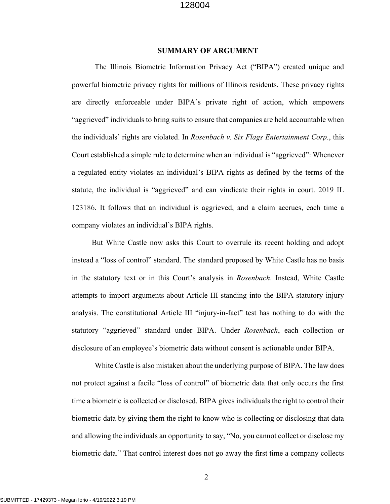#### **SUMMARY OF ARGUMENT**

The Illinois Biometric Information Privacy Act ("BIPA") created unique and powerful biometric privacy rights for millions of Illinois residents. These privacy rights are directly enforceable under BIPA's private right of action, which empowers "aggrieved" individuals to bring suits to ensure that companies are held accountable when the individuals' rights are violated. In *Rosenbach v. Six Flags Entertainment Corp.*, this Court established a simple rule to determine when an individual is "aggrieved": Whenever a regulated entity violates an individual's BIPA rights as defined by the terms of the statute, the individual is "aggrieved" and can vindicate their rights in court. 2019 IL 123186. It follows that an individual is aggrieved, and a claim accrues, each time a company violates an individual's BIPA rights.

But White Castle now asks this Court to overrule its recent holding and adopt instead a "loss of control" standard. The standard proposed by White Castle has no basis in the statutory text or in this Court's analysis in *Rosenbach*. Instead, White Castle attempts to import arguments about Article III standing into the BIPA statutory injury analysis. The constitutional Article III "injury-in-fact" test has nothing to do with the statutory "aggrieved" standard under BIPA. Under *Rosenbach*, each collection or disclosure of an employee's biometric data without consent is actionable under BIPA.

White Castle is also mistaken about the underlying purpose of BIPA. The law does not protect against a facile "loss of control" of biometric data that only occurs the first time a biometric is collected or disclosed. BIPA gives individuals the right to control their biometric data by giving them the right to know who is collecting or disclosing that data and allowing the individuals an opportunity to say, "No, you cannot collect or disclose my biometric data." That control interest does not go away the first time a company collects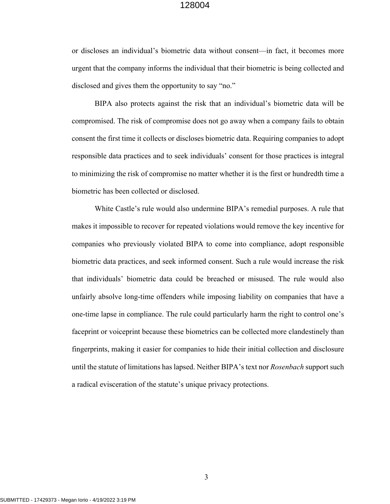or discloses an individual's biometric data without consent—in fact, it becomes more urgent that the company informs the individual that their biometric is being collected and disclosed and gives them the opportunity to say "no."

BIPA also protects against the risk that an individual's biometric data will be compromised. The risk of compromise does not go away when a company fails to obtain consent the first time it collects or discloses biometric data. Requiring companies to adopt responsible data practices and to seek individuals' consent for those practices is integral to minimizing the risk of compromise no matter whether it is the first or hundredth time a biometric has been collected or disclosed.

White Castle's rule would also undermine BIPA's remedial purposes. A rule that makes it impossible to recover for repeated violations would remove the key incentive for companies who previously violated BIPA to come into compliance, adopt responsible biometric data practices, and seek informed consent. Such a rule would increase the risk that individuals' biometric data could be breached or misused. The rule would also unfairly absolve long-time offenders while imposing liability on companies that have a one-time lapse in compliance. The rule could particularly harm the right to control one's faceprint or voiceprint because these biometrics can be collected more clandestinely than fingerprints, making it easier for companies to hide their initial collection and disclosure until the statute of limitations has lapsed. Neither BIPA's text nor *Rosenbach* support such a radical evisceration of the statute's unique privacy protections.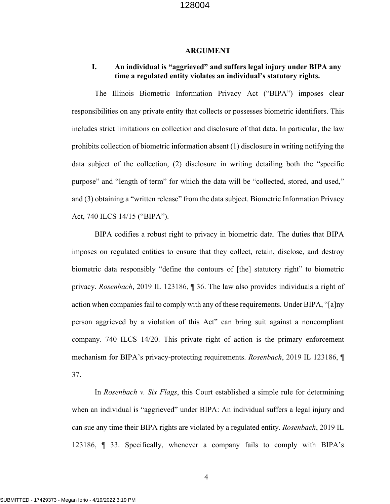#### **ARGUMENT**

### **I. An individual is "aggrieved" and suffers legal injury under BIPA any time a regulated entity violates an individual's statutory rights.**

The Illinois Biometric Information Privacy Act ("BIPA") imposes clear responsibilities on any private entity that collects or possesses biometric identifiers. This includes strict limitations on collection and disclosure of that data. In particular, the law prohibits collection of biometric information absent (1) disclosure in writing notifying the data subject of the collection, (2) disclosure in writing detailing both the "specific purpose" and "length of term" for which the data will be "collected, stored, and used," and (3) obtaining a "written release" from the data subject. Biometric Information Privacy Act, 740 ILCS 14/15 ("BIPA").

BIPA codifies a robust right to privacy in biometric data. The duties that BIPA imposes on regulated entities to ensure that they collect, retain, disclose, and destroy biometric data responsibly "define the contours of [the] statutory right" to biometric privacy. *Rosenbach*, 2019 IL 123186, ¶ 36. The law also provides individuals a right of action when companies fail to comply with any of these requirements. Under BIPA, "[a]ny person aggrieved by a violation of this Act" can bring suit against a noncompliant company. 740 ILCS 14/20. This private right of action is the primary enforcement mechanism for BIPA's privacy-protecting requirements. *Rosenbach*, 2019 IL 123186, ¶ 37.

In *Rosenbach v. Six Flags*, this Court established a simple rule for determining when an individual is "aggrieved" under BIPA: An individual suffers a legal injury and can sue any time their BIPA rights are violated by a regulated entity. *Rosenbach*, 2019 IL 123186, ¶ 33. Specifically, whenever a company fails to comply with BIPA's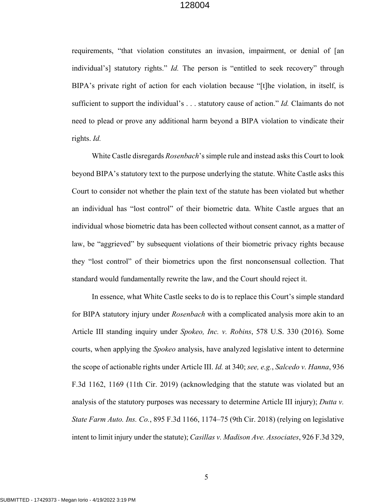requirements, "that violation constitutes an invasion, impairment, or denial of [an individual's] statutory rights." *Id.* The person is "entitled to seek recovery" through BIPA's private right of action for each violation because "[t]he violation, in itself, is sufficient to support the individual's . . . statutory cause of action." *Id.* Claimants do not need to plead or prove any additional harm beyond a BIPA violation to vindicate their rights. *Id.*

White Castle disregards *Rosenbach*'s simple rule and instead asks this Court to look beyond BIPA's statutory text to the purpose underlying the statute. White Castle asks this Court to consider not whether the plain text of the statute has been violated but whether an individual has "lost control" of their biometric data. White Castle argues that an individual whose biometric data has been collected without consent cannot, as a matter of law, be "aggrieved" by subsequent violations of their biometric privacy rights because they "lost control" of their biometrics upon the first nonconsensual collection. That standard would fundamentally rewrite the law, and the Court should reject it.

In essence, what White Castle seeks to do is to replace this Court's simple standard for BIPA statutory injury under *Rosenbach* with a complicated analysis more akin to an Article III standing inquiry under *Spokeo, Inc. v. Robins*, 578 U.S. 330 (2016). Some courts, when applying the *Spokeo* analysis, have analyzed legislative intent to determine the scope of actionable rights under Article III. *Id.* at 340; *see, e.g.*, *Salcedo v. Hanna*, 936 F.3d 1162, 1169 (11th Cir. 2019) (acknowledging that the statute was violated but an analysis of the statutory purposes was necessary to determine Article III injury); *Dutta v. State Farm Auto. Ins. Co.*, 895 F.3d 1166, 1174–75 (9th Cir. 2018) (relying on legislative intent to limit injury under the statute); *Casillas v. Madison Ave. Associates*, 926 F.3d 329,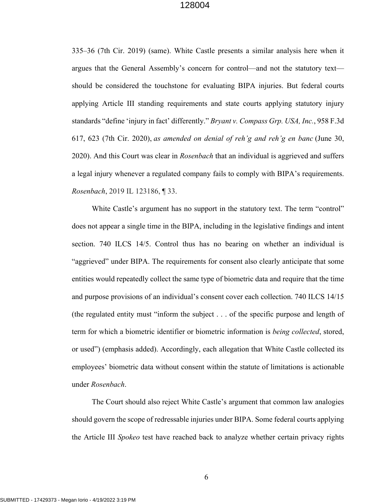335–36 (7th Cir. 2019) (same). White Castle presents a similar analysis here when it argues that the General Assembly's concern for control—and not the statutory text should be considered the touchstone for evaluating BIPA injuries. But federal courts applying Article III standing requirements and state courts applying statutory injury standards "define 'injury in fact' differently." *Bryant v. Compass Grp. USA, Inc.*, 958 F.3d 617, 623 (7th Cir. 2020), *as amended on denial of reh'g and reh'g en banc* (June 30, 2020). And this Court was clear in *Rosenbach* that an individual is aggrieved and suffers a legal injury whenever a regulated company fails to comply with BIPA's requirements. *Rosenbach*, 2019 IL 123186, ¶ 33.

White Castle's argument has no support in the statutory text. The term "control" does not appear a single time in the BIPA, including in the legislative findings and intent section. 740 ILCS 14/5. Control thus has no bearing on whether an individual is "aggrieved" under BIPA. The requirements for consent also clearly anticipate that some entities would repeatedly collect the same type of biometric data and require that the time and purpose provisions of an individual's consent cover each collection. 740 ILCS 14/15 (the regulated entity must "inform the subject . . . of the specific purpose and length of term for which a biometric identifier or biometric information is *being collected*, stored, or used") (emphasis added). Accordingly, each allegation that White Castle collected its employees' biometric data without consent within the statute of limitations is actionable under *Rosenbach*.

The Court should also reject White Castle's argument that common law analogies should govern the scope of redressable injuries under BIPA. Some federal courts applying the Article III *Spokeo* test have reached back to analyze whether certain privacy rights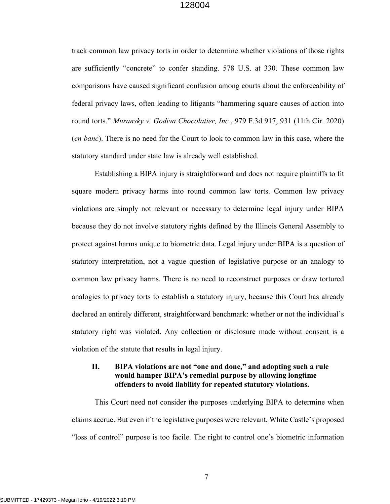track common law privacy torts in order to determine whether violations of those rights are sufficiently "concrete" to confer standing. 578 U.S. at 330. These common law comparisons have caused significant confusion among courts about the enforceability of federal privacy laws, often leading to litigants "hammering square causes of action into round torts." *Muransky v. Godiva Chocolatier, Inc.*, 979 F.3d 917, 931 (11th Cir. 2020) (*en banc*). There is no need for the Court to look to common law in this case, where the statutory standard under state law is already well established.

Establishing a BIPA injury is straightforward and does not require plaintiffs to fit square modern privacy harms into round common law torts. Common law privacy violations are simply not relevant or necessary to determine legal injury under BIPA because they do not involve statutory rights defined by the Illinois General Assembly to protect against harms unique to biometric data. Legal injury under BIPA is a question of statutory interpretation, not a vague question of legislative purpose or an analogy to common law privacy harms. There is no need to reconstruct purposes or draw tortured analogies to privacy torts to establish a statutory injury, because this Court has already declared an entirely different, straightforward benchmark: whether or not the individual's statutory right was violated. Any collection or disclosure made without consent is a violation of the statute that results in legal injury.

### **II. BIPA violations are not "one and done," and adopting such a rule would hamper BIPA's remedial purpose by allowing longtime offenders to avoid liability for repeated statutory violations.**

This Court need not consider the purposes underlying BIPA to determine when claims accrue. But even if the legislative purposes were relevant, White Castle's proposed "loss of control" purpose is too facile. The right to control one's biometric information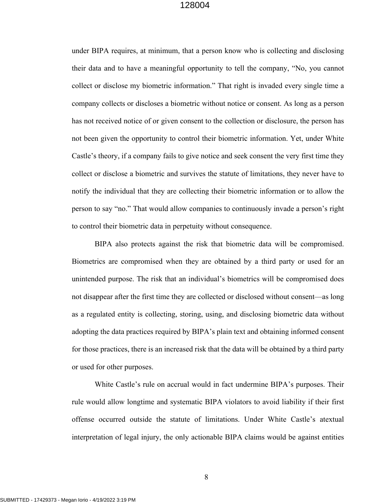under BIPA requires, at minimum, that a person know who is collecting and disclosing their data and to have a meaningful opportunity to tell the company, "No, you cannot collect or disclose my biometric information." That right is invaded every single time a company collects or discloses a biometric without notice or consent. As long as a person has not received notice of or given consent to the collection or disclosure, the person has not been given the opportunity to control their biometric information. Yet, under White Castle's theory, if a company fails to give notice and seek consent the very first time they collect or disclose a biometric and survives the statute of limitations, they never have to notify the individual that they are collecting their biometric information or to allow the person to say "no." That would allow companies to continuously invade a person's right to control their biometric data in perpetuity without consequence.

BIPA also protects against the risk that biometric data will be compromised. Biometrics are compromised when they are obtained by a third party or used for an unintended purpose. The risk that an individual's biometrics will be compromised does not disappear after the first time they are collected or disclosed without consent—as long as a regulated entity is collecting, storing, using, and disclosing biometric data without adopting the data practices required by BIPA's plain text and obtaining informed consent for those practices, there is an increased risk that the data will be obtained by a third party or used for other purposes.

White Castle's rule on accrual would in fact undermine BIPA's purposes. Their rule would allow longtime and systematic BIPA violators to avoid liability if their first offense occurred outside the statute of limitations. Under White Castle's atextual interpretation of legal injury, the only actionable BIPA claims would be against entities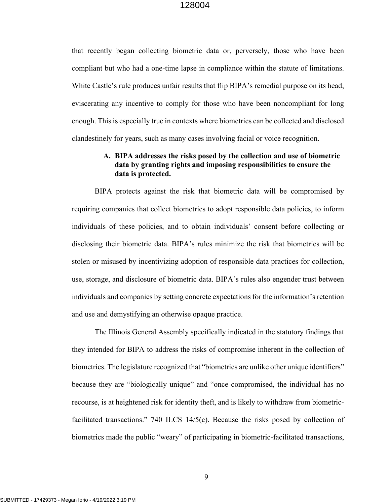that recently began collecting biometric data or, perversely, those who have been compliant but who had a one-time lapse in compliance within the statute of limitations. White Castle's rule produces unfair results that flip BIPA's remedial purpose on its head, eviscerating any incentive to comply for those who have been noncompliant for long enough. This is especially true in contexts where biometrics can be collected and disclosed clandestinely for years, such as many cases involving facial or voice recognition.

#### **A. BIPA addresses the risks posed by the collection and use of biometric data by granting rights and imposing responsibilities to ensure the data is protected.**

BIPA protects against the risk that biometric data will be compromised by requiring companies that collect biometrics to adopt responsible data policies, to inform individuals of these policies, and to obtain individuals' consent before collecting or disclosing their biometric data. BIPA's rules minimize the risk that biometrics will be stolen or misused by incentivizing adoption of responsible data practices for collection, use, storage, and disclosure of biometric data. BIPA's rules also engender trust between individuals and companies by setting concrete expectations for the information's retention and use and demystifying an otherwise opaque practice.

The Illinois General Assembly specifically indicated in the statutory findings that they intended for BIPA to address the risks of compromise inherent in the collection of biometrics. The legislature recognized that "biometrics are unlike other unique identifiers" because they are "biologically unique" and "once compromised, the individual has no recourse, is at heightened risk for identity theft, and is likely to withdraw from biometricfacilitated transactions." 740 ILCS 14/5(c). Because the risks posed by collection of biometrics made the public "weary" of participating in biometric-facilitated transactions,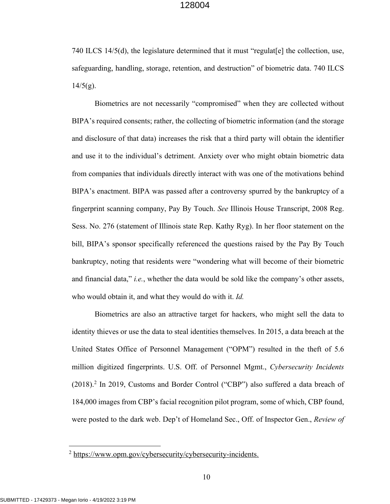740 ILCS 14/5(d), the legislature determined that it must "regulat[e] the collection, use, safeguarding, handling, storage, retention, and destruction" of biometric data. 740 ILCS  $14/5(g)$ .

Biometrics are not necessarily "compromised" when they are collected without BIPA's required consents; rather, the collecting of biometric information (and the storage and disclosure of that data) increases the risk that a third party will obtain the identifier and use it to the individual's detriment. Anxiety over who might obtain biometric data from companies that individuals directly interact with was one of the motivations behind BIPA's enactment. BIPA was passed after a controversy spurred by the bankruptcy of a fingerprint scanning company, Pay By Touch. *See* Illinois House Transcript, 2008 Reg. Sess. No. 276 (statement of Illinois state Rep. Kathy Ryg). In her floor statement on the bill, BIPA's sponsor specifically referenced the questions raised by the Pay By Touch bankruptcy, noting that residents were "wondering what will become of their biometric and financial data," *i.e.*, whether the data would be sold like the company's other assets, who would obtain it, and what they would do with it. *Id.*

Biometrics are also an attractive target for hackers, who might sell the data to identity thieves or use the data to steal identities themselves. In 2015, a data breach at the United States Office of Personnel Management ("OPM") resulted in the theft of 5.6 million digitized fingerprints. U.S. Off. of Personnel Mgmt., *Cybersecurity Incidents*  (2018). <sup>2</sup> In 2019, Customs and Border Control ("CBP") also suffered a data breach of 184,000 images from CBP's facial recognition pilot program, some of which, CBP found, were posted to the dark web. Dep't of Homeland Sec., Off. of Inspector Gen., *Review of* 

<sup>2</sup> https://www.opm.gov/cybersecurity/cybersecurity-incidents.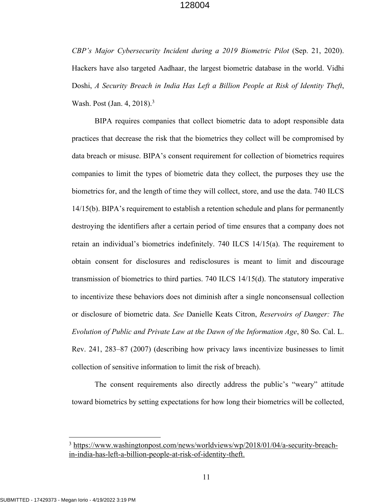*CBP's Major Cybersecurity Incident during a 2019 Biometric Pilot* (Sep. 21, 2020). Hackers have also targeted Aadhaar, the largest biometric database in the world. Vidhi Doshi, *A Security Breach in India Has Left a Billion People at Risk of Identity Theft*, Wash. Post (Jan. 4, 2018).<sup>3</sup>

BIPA requires companies that collect biometric data to adopt responsible data practices that decrease the risk that the biometrics they collect will be compromised by data breach or misuse. BIPA's consent requirement for collection of biometrics requires companies to limit the types of biometric data they collect, the purposes they use the biometrics for, and the length of time they will collect, store, and use the data. 740 ILCS 14/15(b). BIPA's requirement to establish a retention schedule and plans for permanently destroying the identifiers after a certain period of time ensures that a company does not retain an individual's biometrics indefinitely. 740 ILCS 14/15(a). The requirement to obtain consent for disclosures and redisclosures is meant to limit and discourage transmission of biometrics to third parties. 740 ILCS 14/15(d). The statutory imperative to incentivize these behaviors does not diminish after a single nonconsensual collection or disclosure of biometric data. *See* Danielle Keats Citron, *Reservoirs of Danger: The Evolution of Public and Private Law at the Dawn of the Information Age*, 80 So. Cal. L. Rev. 241, 283–87 (2007) (describing how privacy laws incentivize businesses to limit collection of sensitive information to limit the risk of breach).

The consent requirements also directly address the public's "weary" attitude toward biometrics by setting expectations for how long their biometrics will be collected,

<sup>&</sup>lt;sup>3</sup> https://www.washingtonpost.com/news/worldviews/wp/2018/01/04/a-security-breachin-india-has-left-a-billion-people-at-risk-of-identity-theft.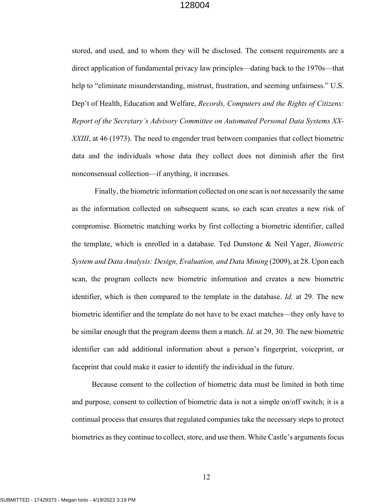stored, and used, and to whom they will be disclosed. The consent requirements are a direct application of fundamental privacy law principles—dating back to the 1970s—that help to "eliminate misunderstanding, mistrust, frustration, and seeming unfairness." U.S. Dep't of Health, Education and Welfare, *Records, Computers and the Rights of Citizens: Report of the Secretary's Advisory Committee on Automated Personal Data Systems XX-XXIII*, at 46 (1973). The need to engender trust between companies that collect biometric data and the individuals whose data they collect does not diminish after the first nonconsensual collection—if anything, it increases.

Finally, the biometric information collected on one scan is not necessarily the same as the information collected on subsequent scans, so each scan creates a new risk of compromise. Biometric matching works by first collecting a biometric identifier, called the template, which is enrolled in a database. Ted Dunstone & Neil Yager, *Biometric System and Data Analysis: Design, Evaluation, and Data Mining* (2009), at 28. Upon each scan, the program collects new biometric information and creates a new biometric identifier, which is then compared to the template in the database. *Id.* at 29. The new biometric identifier and the template do not have to be exact matches—they only have to be similar enough that the program deems them a match. *Id.* at 29, 30. The new biometric identifier can add additional information about a person's fingerprint, voiceprint, or faceprint that could make it easier to identify the individual in the future.

Because consent to the collection of biometric data must be limited in both time and purpose, consent to collection of biometric data is not a simple on/off switch; it is a continual process that ensures that regulated companies take the necessary steps to protect biometrics as they continue to collect, store, and use them. White Castle's arguments focus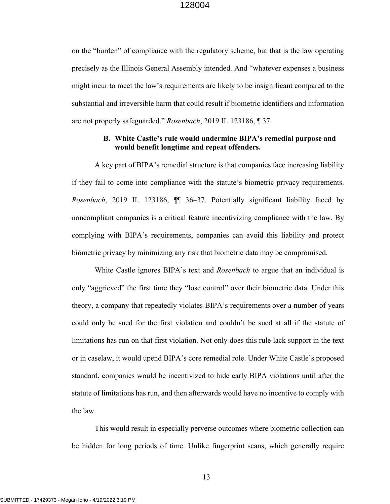on the "burden" of compliance with the regulatory scheme, but that is the law operating precisely as the Illinois General Assembly intended. And "whatever expenses a business might incur to meet the law's requirements are likely to be insignificant compared to the substantial and irreversible harm that could result if biometric identifiers and information are not properly safeguarded." *Rosenbach*, 2019 IL 123186, ¶ 37.

#### **B. White Castle's rule would undermine BIPA's remedial purpose and would benefit longtime and repeat offenders.**

A key part of BIPA's remedial structure is that companies face increasing liability if they fail to come into compliance with the statute's biometric privacy requirements. *Rosenbach*, 2019 IL 123186, ¶¶ 36–37. Potentially significant liability faced by noncompliant companies is a critical feature incentivizing compliance with the law. By complying with BIPA's requirements, companies can avoid this liability and protect biometric privacy by minimizing any risk that biometric data may be compromised.

White Castle ignores BIPA's text and *Rosenbach* to argue that an individual is only "aggrieved" the first time they "lose control" over their biometric data. Under this theory, a company that repeatedly violates BIPA's requirements over a number of years could only be sued for the first violation and couldn't be sued at all if the statute of limitations has run on that first violation. Not only does this rule lack support in the text or in caselaw, it would upend BIPA's core remedial role. Under White Castle's proposed standard, companies would be incentivized to hide early BIPA violations until after the statute of limitations has run, and then afterwards would have no incentive to comply with the law.

This would result in especially perverse outcomes where biometric collection can be hidden for long periods of time. Unlike fingerprint scans, which generally require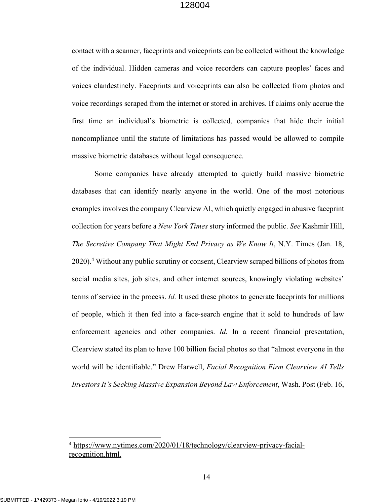contact with a scanner, faceprints and voiceprints can be collected without the knowledge of the individual. Hidden cameras and voice recorders can capture peoples' faces and voices clandestinely. Faceprints and voiceprints can also be collected from photos and voice recordings scraped from the internet or stored in archives. If claims only accrue the first time an individual's biometric is collected, companies that hide their initial noncompliance until the statute of limitations has passed would be allowed to compile massive biometric databases without legal consequence.

Some companies have already attempted to quietly build massive biometric databases that can identify nearly anyone in the world. One of the most notorious examples involves the company Clearview AI, which quietly engaged in abusive faceprint collection for years before a *New York Times* story informed the public. *See* Kashmir Hill, *The Secretive Company That Might End Privacy as We Know It*, N.Y. Times (Jan. 18, 2020). <sup>4</sup> Without any public scrutiny or consent, Clearview scraped billions of photos from social media sites, job sites, and other internet sources, knowingly violating websites' terms of service in the process. *Id.* It used these photos to generate faceprints for millions of people, which it then fed into a face-search engine that it sold to hundreds of law enforcement agencies and other companies. *Id.* In a recent financial presentation, Clearview stated its plan to have 100 billion facial photos so that "almost everyone in the world will be identifiable." Drew Harwell, *Facial Recognition Firm Clearview AI Tells Investors It's Seeking Massive Expansion Beyond Law Enforcement*, Wash. Post (Feb. 16,

<sup>4</sup> https://www.nytimes.com/2020/01/18/technology/clearview-privacy-facialrecognition.html.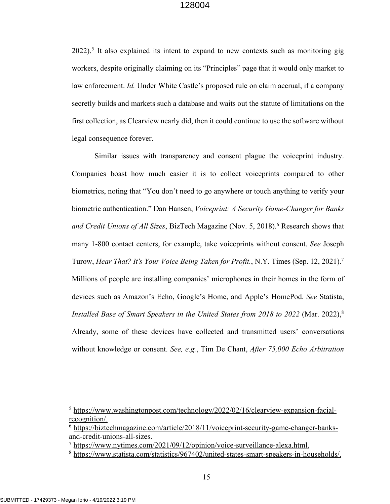$2022$ ).<sup>5</sup> It also explained its intent to expand to new contexts such as monitoring gig workers, despite originally claiming on its "Principles" page that it would only market to law enforcement. *Id.* Under White Castle's proposed rule on claim accrual, if a company secretly builds and markets such a database and waits out the statute of limitations on the first collection, as Clearview nearly did, then it could continue to use the software without legal consequence forever.

Similar issues with transparency and consent plague the voiceprint industry. Companies boast how much easier it is to collect voiceprints compared to other biometrics, noting that "You don't need to go anywhere or touch anything to verify your biometric authentication." Dan Hansen, *Voiceprint: A Security Game-Changer for Banks and Credit Unions of All Sizes*, BizTech Magazine (Nov. 5, 2018).6 Research shows that many 1-800 contact centers, for example, take voiceprints without consent. *See* Joseph Turow, *Hear That? It's Your Voice Being Taken for Profit.*, N.Y. Times (Sep. 12, 2021).7 Millions of people are installing companies' microphones in their homes in the form of devices such as Amazon's Echo, Google's Home, and Apple's HomePod. *See* Statista, *Installed Base of Smart Speakers in the United States from 2018 to 2022* (Mar. 2022),<sup>8</sup> Already, some of these devices have collected and transmitted users' conversations without knowledge or consent. *See, e.g.*, Tim De Chant, *After 75,000 Echo Arbitration* 

<sup>5</sup> https://www.washingtonpost.com/technology/2022/02/16/clearview-expansion-facialrecognition/.

<sup>6</sup> https://biztechmagazine.com/article/2018/11/voiceprint-security-game-changer-banksand-credit-unions-all-sizes.

<sup>7</sup> https://www.nytimes.com/2021/09/12/opinion/voice-surveillance-alexa.html.

<sup>8</sup> https://www.statista.com/statistics/967402/united-states-smart-speakers-in-households/.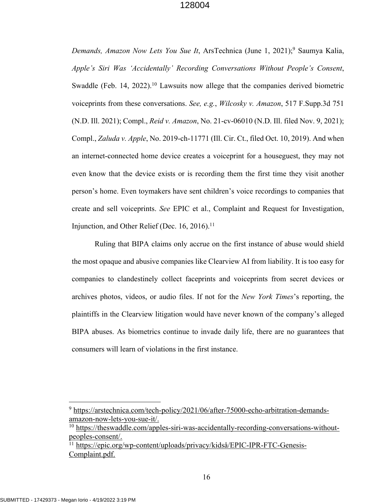*Demands, Amazon Now Lets You Sue It*, ArsTechnica (June 1, 2021); <sup>9</sup> Saumya Kalia, *Apple's Siri Was 'Accidentally' Recording Conversations Without People's Consent*, Swaddle (Feb. 14, 2022).<sup>10</sup> Lawsuits now allege that the companies derived biometric voiceprints from these conversations. *See, e.g.*, *Wilcosky v. Amazon*, 517 F.Supp.3d 751 (N.D. Ill. 2021); Compl., *Reid v. Amazon*, No. 21-cv-06010 (N.D. Ill. filed Nov. 9, 2021); Compl., *Zaluda v. Apple*, No. 2019-ch-11771 (Ill. Cir. Ct., filed Oct. 10, 2019). And when an internet-connected home device creates a voiceprint for a houseguest, they may not even know that the device exists or is recording them the first time they visit another person's home. Even toymakers have sent children's voice recordings to companies that create and sell voiceprints. *See* EPIC et al., Complaint and Request for Investigation, Injunction, and Other Relief (Dec. 16, 2016).<sup>11</sup>

Ruling that BIPA claims only accrue on the first instance of abuse would shield the most opaque and abusive companies like Clearview AI from liability. It is too easy for companies to clandestinely collect faceprints and voiceprints from secret devices or archives photos, videos, or audio files. If not for the *New York Times*'s reporting, the plaintiffs in the Clearview litigation would have never known of the company's alleged BIPA abuses. As biometrics continue to invade daily life, there are no guarantees that consumers will learn of violations in the first instance.

<sup>&</sup>lt;sup>9</sup> https://arstechnica.com/tech-policy/2021/06/after-75000-echo-arbitration-demandsamazon-now-lets-you-sue-it/.

<sup>&</sup>lt;sup>10</sup> https://theswaddle.com/apples-siri-was-accidentally-recording-conversations-withoutpeoples-consent/.

<sup>&</sup>lt;sup>11</sup> https://epic.org/wp-content/uploads/privacy/kidså/EPIC-IPR-FTC-Genesis-Complaint.pdf.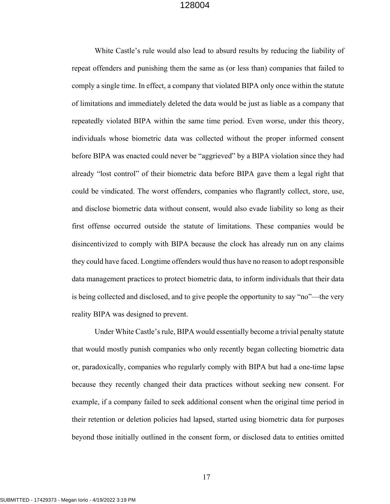White Castle's rule would also lead to absurd results by reducing the liability of repeat offenders and punishing them the same as (or less than) companies that failed to comply a single time. In effect, a company that violated BIPA only once within the statute of limitations and immediately deleted the data would be just as liable as a company that repeatedly violated BIPA within the same time period. Even worse, under this theory, individuals whose biometric data was collected without the proper informed consent before BIPA was enacted could never be "aggrieved" by a BIPA violation since they had already "lost control" of their biometric data before BIPA gave them a legal right that could be vindicated. The worst offenders, companies who flagrantly collect, store, use, and disclose biometric data without consent, would also evade liability so long as their first offense occurred outside the statute of limitations. These companies would be disincentivized to comply with BIPA because the clock has already run on any claims they could have faced. Longtime offenders would thus have no reason to adopt responsible data management practices to protect biometric data, to inform individuals that their data is being collected and disclosed, and to give people the opportunity to say "no"—the very reality BIPA was designed to prevent.

Under White Castle's rule, BIPA would essentially become a trivial penalty statute that would mostly punish companies who only recently began collecting biometric data or, paradoxically, companies who regularly comply with BIPA but had a one-time lapse because they recently changed their data practices without seeking new consent. For example, if a company failed to seek additional consent when the original time period in their retention or deletion policies had lapsed, started using biometric data for purposes beyond those initially outlined in the consent form, or disclosed data to entities omitted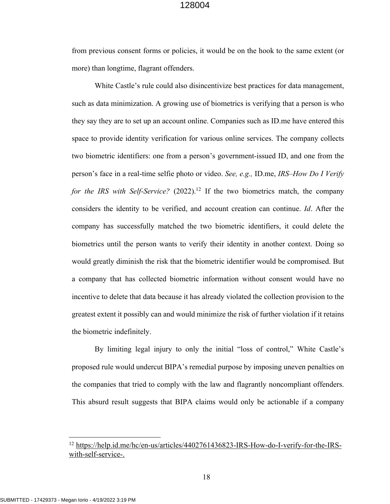from previous consent forms or policies, it would be on the hook to the same extent (or more) than longtime, flagrant offenders.

White Castle's rule could also disincentivize best practices for data management, such as data minimization. A growing use of biometrics is verifying that a person is who they say they are to set up an account online. Companies such as ID.me have entered this space to provide identity verification for various online services. The company collects two biometric identifiers: one from a person's government-issued ID, and one from the person's face in a real-time selfie photo or video. *See, e.g.,* ID.me, *IRS–How Do I Verify*  for the IRS with Self-Service? (2022).<sup>12</sup> If the two biometrics match, the company considers the identity to be verified, and account creation can continue. *Id*. After the company has successfully matched the two biometric identifiers, it could delete the biometrics until the person wants to verify their identity in another context. Doing so would greatly diminish the risk that the biometric identifier would be compromised. But a company that has collected biometric information without consent would have no incentive to delete that data because it has already violated the collection provision to the greatest extent it possibly can and would minimize the risk of further violation if it retains the biometric indefinitely.

By limiting legal injury to only the initial "loss of control," White Castle's proposed rule would undercut BIPA's remedial purpose by imposing uneven penalties on the companies that tried to comply with the law and flagrantly noncompliant offenders. This absurd result suggests that BIPA claims would only be actionable if a company

<sup>12</sup> https://help.id.me/hc/en-us/articles/4402761436823-IRS-How-do-I-verify-for-the-IRSwith-self-service-.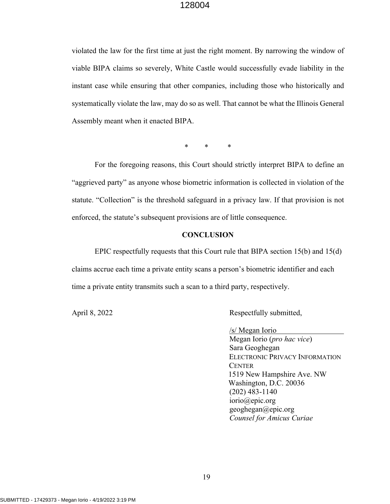violated the law for the first time at just the right moment. By narrowing the window of viable BIPA claims so severely, White Castle would successfully evade liability in the instant case while ensuring that other companies, including those who historically and systematically violate the law, may do so as well. That cannot be what the Illinois General Assembly meant when it enacted BIPA.

\* \* \*

For the foregoing reasons, this Court should strictly interpret BIPA to define an "aggrieved party" as anyone whose biometric information is collected in violation of the statute. "Collection" is the threshold safeguard in a privacy law. If that provision is not enforced, the statute's subsequent provisions are of little consequence.

#### **CONCLUSION**

EPIC respectfully requests that this Court rule that BIPA section 15(b) and 15(d) claims accrue each time a private entity scans a person's biometric identifier and each time a private entity transmits such a scan to a third party, respectively.

April 8, 2022 Respectfully submitted,

/s/ Megan Iorio

Megan Iorio (*pro hac vice*) Sara Geoghegan ELECTRONIC PRIVACY INFORMATION **CENTER** 1519 New Hampshire Ave. NW Washington, D.C. 20036 (202) 483-1140 iorio@epic.org geoghegan@epic.org *Counsel for Amicus Curiae*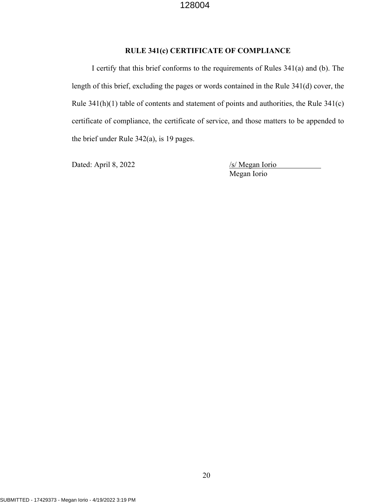## **RULE 341(c) CERTIFICATE OF COMPLIANCE**

I certify that this brief conforms to the requirements of Rules 341(a) and (b). The length of this brief, excluding the pages or words contained in the Rule 341(d) cover, the Rule 341(h)(1) table of contents and statement of points and authorities, the Rule 341(c) certificate of compliance, the certificate of service, and those matters to be appended to the brief under Rule 342(a), is 19 pages.

Dated: April 8, 2022 /s/ Megan Iorio

Megan Iorio